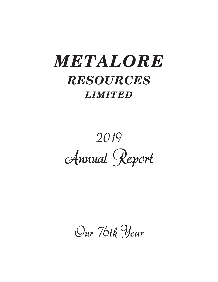

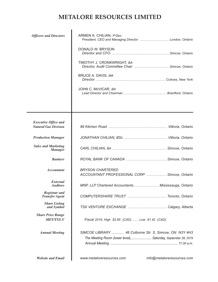| <b>Officers and Directors</b>                              | ARMEN A. CHILIAN, P.Geo.                                                 |  |
|------------------------------------------------------------|--------------------------------------------------------------------------|--|
|                                                            | DONALD W. BRYSON                                                         |  |
|                                                            | TIMOTHY J. CRONKWRIGHT, BA                                               |  |
|                                                            | BRUCE A. DAVIS, MA                                                       |  |
|                                                            | JOHN C. McVICAR, BA                                                      |  |
|                                                            |                                                                          |  |
| <b>Executive Office and</b><br><b>Natural Gas Division</b> |                                                                          |  |
| <b>Production Manager</b>                                  |                                                                          |  |
| <b>Sales and Marketing</b>                                 |                                                                          |  |
| <b>Manager</b>                                             |                                                                          |  |
| <b>Bankers</b>                                             |                                                                          |  |
| <b>Accountant</b>                                          | <b>BRYSON CHARTERED</b><br>ACCOUNTANT PROFESSIONAL CORP  Simcoe, Ontario |  |
| <b>External</b><br><b>Auditors</b>                         | MNP, LLP Chartered Accountants  Mississauga, Ontario                     |  |
| <b>Registrar</b> and<br><b>Transfer Agent</b>              |                                                                          |  |
| <b>Share Listing</b><br>and Symbol                         |                                                                          |  |

 *Share Price Range*

 *MET/TSX.V Fiscal 2019, High \$2.85 (CAD)* ........ *Low \$1.42 (CAD)*

 *Annual Meeting SIMCOE LIBRARY ............. 46 Colborne Str. S, Simcoe, ON N3Y 4H3 The Meeting Room (lower level),........................ Saturday, September 28, 2019 Annual Meeting .......................................................................... 11:30 a.m.*

 *Website and Email www.metaloreresources.com info@metaloreresources.com*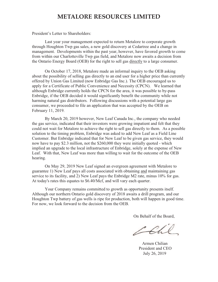President's Letter to Shareholders:

Last year your management expected to return Metalore to corporate growth through Houghton Twp gas sales, a new gold discovery at Cedartree and a change in management. Developments within the past year, however, have favored growth to come from within our Charlotteville Twp gas field, and Metalore now awaits a decision from the Ontario Energy Board (OEB) for the right to sell gas directly to a large consumer.

On October 17, 2018, Metalore made an informal inquiry to the OEB asking about the possibility of selling gas directly to an end user for a higher price than currently offered by Union Gas Limited (now Enbridge Gas Inc.). The OEB encouraged us to apply for a Certificate of Public Convenience and Necessity (CPCN). We learned that although Enbridge currently holds the CPCN for the area, it was possible to by-pass Enbridge, if the OEB decided it would significantly benefit the community while not harming natural gas distributors. Following discussions with a potential large gas consumer, we proceeded to file an application that was accepted by the OEB on February 11, 2019.

By March 20, 2019 however, New Leaf Canada Inc., the company who needed the gas service, indicated that their investors were growing impatient and felt that they could not wait for Metalore to achieve the right to sell gas directly to them. As a possible solution to the timing problem, Enbridge was asked to add New Leaf as a Field Line Customer. But Enbridge indicated that for New Leaf to be given gas service, they would now have to pay \$2.3 million, not the \$260,000 they were initially quoted - which implied an upgrade to the local infrastructure of Enbridge, solely at the expense of New Leaf. With that, New Leaf was more than willing to wait for the outcome of the OEB hearing.

On May 29, 2019 New Leaf signed an evergreen agreement with Metalore to guarantee 1) New Leaf pays all costs associated with obtaining and maintaining gas service to its facility, and 2) New Leaf pays the Enbridge M2 rate, minus 10% for gas. At today's rates this equates to \$6.40/Mcf, and will vary each quarter.

Your Company remains committed to growth as opportunity presents itself. Although our northern Ontario gold discovery of 2018 awaits a drill program, and our Houghton Twp battery of gas wells is ripe for production, both will happen in good time. For now, we look forward to the decision from the OEB.

On Behalf of the Board,

Chl

Armen Chilian President and CEO July 26, 2019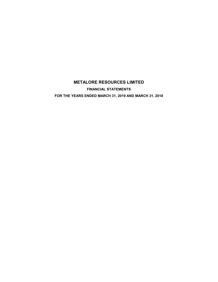# **METALORE RESOURCES LIMITED FINANCIAL STATEMENTS FOR THE YEARS ENDED MARCH 31, 2019 AND MARCH 31, 2018**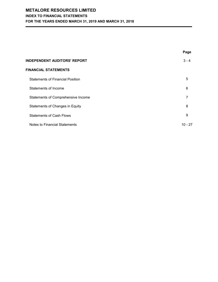|                                         | Page      |
|-----------------------------------------|-----------|
| <b>INDEPENDENT AUDITORS' REPORT</b>     | $3 - 4$   |
| <b>FINANCIAL STATEMENTS</b>             |           |
| <b>Statements of Financial Position</b> | 5         |
| Statements of Income                    | 6         |
| Statements of Comprehensive Income      | 7         |
| Statements of Changes in Equity         | 8         |
| <b>Statements of Cash Flows</b>         | 9         |
| Notes to Financial Statements           | $10 - 27$ |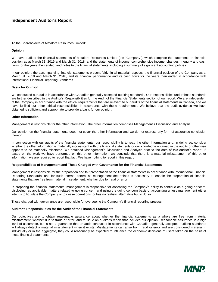To the Shareholders of Metalore Resources Limited:

#### **Opinion**

We have audited the financial statements of Metalore Resources Limited (the "Company"), which comprise the statements of financial position as at March 31, 2019 and March 31, 2018, and the statements of income, comprehensive income, changes in equity and cash flows for the years then ended, and notes to the financial statements, including a summary of significant accounting policies.

In our opinion, the accompanying financial statements present fairly, in all material respects, the financial position of the Company as at March 31, 2019 and March 31, 2018, and its financial performance and its cash flows for the years then ended in accordance with International Financial Reporting Standards.

#### **Basis for Opinion**

We conducted our audits in accordance with Canadian generally accepted auditing standards. Our responsibilities under those standards are further described in the Auditor's Responsibilities for the Audit of the Financial Statements section of our report. We are independent of the Company in accordance with the ethical requirements that are relevant to our audits of the financial statements in Canada, and we have fulfilled our other ethical responsibilities in accordance with these requirements. We believe that the audit evidence we have obtained is sufficient and appropriate to provide a basis for our opinion.

#### **Other Information**

Management is responsible for the other information. The other information comprises Management's Discussion and Analysis.

Our opinion on the financial statements does not cover the other information and we do not express any form of assurance conclusion thereon.

In connection with our audits of the financial statements, our responsibility is to read the other information and, in doing so, consider whether the other information is materially inconsistent with the financial statements or our knowledge obtained in the audits or otherwise appears to be materially misstated. We obtained Management's Discussion and Analysis prior to the date of this auditor's report. If, based on the work we have performed on this other information, we conclude that there is a material misstatement of this other information, we are required to report that fact. We have nothing to report in this regard.

#### **Responsibilities of Management and Those Charged with Governance for the Financial Statements**

Management is responsible for the preparation and fair presentation of the financial statements in accordance with International Financial Reporting Standards, and for such internal control as management determines is necessary to enable the preparation of financial statements that are free from material misstatement, whether due to fraud or error.

In preparing the financial statements, management is responsible for assessing the Company's ability to continue as a going concern, disclosing, as applicable, matters related to going concern and using the going concern basis of accounting unless management either intends to liquidate the Company or to cease operations, or has no realistic alternative but to do so.

Those charged with governance are responsible for overseeing the Company's financial reporting process.

#### **Auditor's Responsibilities for the Audit of the Financial Statements**

Our objectives are to obtain reasonable assurance about whether the financial statements as a whole are free from material misstatement, whether due to fraud or error, and to issue an auditor's report that includes our opinion. Reasonable assurance is a high level of assurance, but is not a guarantee that an audit conducted in accordance with Canadian generally accepted auditing standards will always detect a material misstatement when it exists. Misstatements can arise from fraud or error and are considered material if, individually or in the aggregate, they could reasonably be expected to influence the economic decisions of users taken on the basis of these financial statements.

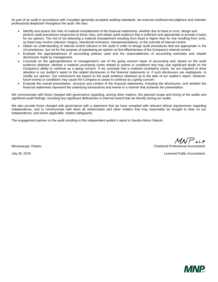As part of an audit in accordance with Canadian generally accepted auditing standards, we exercise professional judgment and maintain professional skepticism throughout the audit. We also:

- Identify and assess the risks of material misstatement of the financial statements, whether due to fraud or error, design and perform audit procedures responsive to those risks, and obtain audit evidence that is sufficient and appropriate to provide a basis for our opinion. The risk of not detecting a material misstatement resulting from fraud is higher than for one resulting from error, as fraud may involve collusion, forgery, intentional omissions, misrepresentations, or the override of internal control.
- Obtain an understanding of internal control relevant to the audit in order to design audit procedures that are appropriate in the circumstances, but not for the purpose of expressing an opinion on the effectiveness of the Company's internal control.
- Evaluate the appropriateness of accounting policies used and the reasonableness of accounting estimates and related disclosures made by management.
- Conclude on the appropriateness of management's use of the going concern basis of accounting and, based on the audit evidence obtained, whether a material uncertainty exists related to events or conditions that may cast significant doubt on the Company's ability to continue as a going concern. If we conclude that a material uncertainty exists, we are required to draw attention in our auditor's report to the related disclosures in the financial statements or, if such disclosures are inadequate, to modify our opinion. Our conclusions are based on the audit evidence obtained up to the date of our auditor's report. However, future events or conditions may cause the Company to cease to continue as a going concern.
- Evaluate the overall presentation, structure and content of the financial statements, including the disclosures, and whether the financial statements represent the underlying transactions and events in a manner that achieves fair presentation.

We communicate with those charged with governance regarding, among other matters, the planned scope and timing of the audits and significant audit findings, including any significant deficiencies in internal control that we identify during our audits.

We also provide those charged with governance with a statement that we have complied with relevant ethical requirements regarding independence, and to communicate with them all relationships and other matters that may reasonably be thought to bear on our independence, and where applicable, related safeguards.

The engagement partner on the audit resulting in this independent auditor's report is Sandra Alison Solecki.

Mississauga, Ontario Chartered Professional Accountants

 $MINPLP$ 

July 26, 2019 Licensed Public Accountants

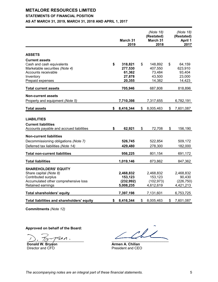# **STATEMENTS OF FINANCIAL POSITION**

# **AS AT MARCH 31, 2019, MARCH 31, 2018 AND APRIL 1, 2017**

|                                                                                                                                              | March 31<br>2019                                       | (Note 18)<br>(Restated)<br>March 31<br>2018            | (Note 18)<br>(Restated)<br>April 1<br>2017            |
|----------------------------------------------------------------------------------------------------------------------------------------------|--------------------------------------------------------|--------------------------------------------------------|-------------------------------------------------------|
| <b>ASSETS</b>                                                                                                                                |                                                        |                                                        |                                                       |
| <b>Current assets</b><br>Cash and cash equivalents<br>Marketable securities (Note 4)<br>Accounts receivable<br>Inventory<br>Prepaid expenses | \$<br>318,821<br>277,530<br>61,362<br>27,878<br>20,355 | \$<br>148,892<br>407,550<br>73,484<br>43,500<br>14,382 | \$<br>64,159<br>623,910<br>93,404<br>23,000<br>14,423 |
| <b>Total current assets</b>                                                                                                                  | 705,946                                                | 687,808                                                | 818,896                                               |
| <b>Non-current assets</b><br>Property and equipment (Note 5)                                                                                 | 7,710,398                                              | 7,317,655                                              | 6,782,191                                             |
| <b>Total assets</b>                                                                                                                          | \$<br>8,416,344                                        | \$<br>8,005,463                                        | \$<br>7,601,087                                       |
| <b>LIABILITIES</b><br><b>Current liabilities</b><br>Accounts payable and accrued liabilities                                                 | \$<br>62,921                                           | \$<br>72,708                                           | \$<br>156,190                                         |
| <b>Non-current liabilities</b><br>Decommissioning obligations (Note 7)<br>Deferred tax liabilities (Note 14)                                 | 526,745<br>429,480                                     | 522,854<br>278,300                                     | 509,172<br>182,000                                    |
| <b>Total non-current liabilities</b>                                                                                                         | 956,225                                                | 801,154                                                | 691,172                                               |
| <b>Total liabilities</b>                                                                                                                     | 1,019,146                                              | 873,862                                                | 847,362                                               |
| <b>SHAREHOLDERS' EQUITY</b><br>Share capital (Note 8)<br>Contributed surplus<br>Accumulated other comprehensive loss<br>Retained earnings    | 2,468,832<br>153,123<br>(232, 992)<br>5,008,235        | 2,468,832<br>153,123<br>(102, 973)<br>4,612,619        | 2,468,832<br>90,430<br>(226, 750)<br>4,421,213        |
| <b>Total shareholders' equity</b>                                                                                                            | 7,397,198                                              | 7,131,601                                              | 6,753,725                                             |
| Total liabilities and shareholders' equity                                                                                                   | \$<br>8,416,344                                        | \$<br>8,005,463                                        | \$<br>7,601,087                                       |

**Commitments** *(Note 12)*

**Approved on behalf of the Board:**

ralf of the Board:<br>  $\overline{1547}$ .

**Donald W. Bryson**<br>Director and CFO<br>**President and CEC** President and CEO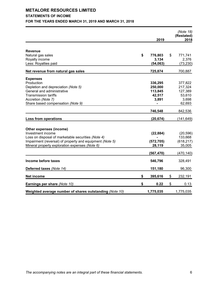# **METALORE RESOURCES LIMITED STATEMENTS OF INCOME FOR THE YEARS ENDED MARCH 31, 2019 AND MARCH 31, 2018**

|                                                                                                                | 2019                 | (Note 18)<br>(Restated)<br>2018 |
|----------------------------------------------------------------------------------------------------------------|----------------------|---------------------------------|
|                                                                                                                |                      |                                 |
| <b>Revenue</b>                                                                                                 |                      |                                 |
| Natural gas sales                                                                                              | \$<br>776,803        | \$<br>771,741                   |
| Royalty income                                                                                                 | 3,134                | 2,376                           |
| Less: Royalties paid                                                                                           | (54,063)             | (73, 230)                       |
| Net revenue from natural gas sales                                                                             | 725,874              | 700,887                         |
| <b>Expenses</b>                                                                                                |                      |                                 |
| Production                                                                                                     | 336,295              | 377,822                         |
| Depletion and depreciation (Note 5)                                                                            | 250,000              | 217,324                         |
| General and administrative                                                                                     | 113,845              | 127,389                         |
| <b>Transmission tariffs</b>                                                                                    | 42,517               | 53,610                          |
| Accretion (Note 7)                                                                                             | 3,891                | 3,698                           |
| Share based compensation (Note 9)                                                                              |                      | 62,693                          |
|                                                                                                                | 746,548              | 842,536                         |
| <b>Loss from operations</b>                                                                                    | (20, 674)            | (141,649)                       |
|                                                                                                                |                      |                                 |
| Other expenses (income)                                                                                        |                      |                                 |
| Investment income                                                                                              | (22, 884)            | (20, 596)                       |
| Loss on disposal of marketable securities (Note 4)<br>Impairment (reversal) of property and equipment (Note 5) |                      | 133,668<br>(618, 217)           |
| Mineral property exploration expenses (Note 6)                                                                 | (572, 705)<br>28,119 | 35,005                          |
|                                                                                                                |                      |                                 |
|                                                                                                                | (567, 470)           | (470, 140)                      |
| Income before taxes                                                                                            | 546,796              | 328,491                         |
| Deferred taxes (Note 14)                                                                                       | 151,180              | 96,300                          |
| Net income                                                                                                     | \$<br>395,616        | \$<br>232,191                   |
| Earnings per share (Note 10)                                                                                   | \$<br>0.22           | \$<br>0.13                      |
| Weighted average number of shares outstanding (Note 10)                                                        | 1,775,035            | 1,775,035                       |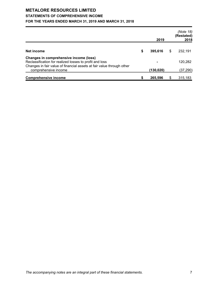# **STATEMENTS OF COMPREHENSIVE INCOME**

# **FOR THE YEARS ENDED MARCH 31, 2019 AND MARCH 31, 2018**

|                                                                                                                                                                                   |   | 2019      |    | (Note 18)<br>(Restated)<br>2018 |
|-----------------------------------------------------------------------------------------------------------------------------------------------------------------------------------|---|-----------|----|---------------------------------|
| Net income                                                                                                                                                                        | S | 395,616   | \$ | 232.191                         |
| <b>Changes in comprehensive income (loss)</b><br>Reclassification for realized losses to profit and loss<br>Changes in fair value of financial assets at fair value through other |   |           |    | 120,282                         |
| comprehensive income                                                                                                                                                              |   | (130,020) |    | (37,290)                        |
| <b>Comprehensive income</b>                                                                                                                                                       | S | 265.596   | S  | 315,183                         |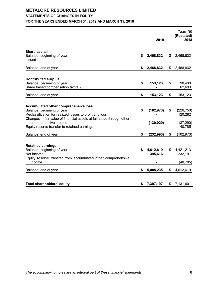# **STATEMENTS OF CHANGES IN EQUITY**

**FOR THE YEARS ENDED MARCH 31, 2019 AND MARCH 31, 2018**

|                                                                                                                                                                                                                                                                                |    | 2019                     | (Note 18)<br>(Restated)<br>2018                    |
|--------------------------------------------------------------------------------------------------------------------------------------------------------------------------------------------------------------------------------------------------------------------------------|----|--------------------------|----------------------------------------------------|
| <b>Share capital</b><br>Balance, beginning of year<br>Issued                                                                                                                                                                                                                   | \$ | 2,468,832                | \$<br>2,468,832                                    |
| Balance, end of year                                                                                                                                                                                                                                                           | \$ | 2,468,832                | \$<br>2,468,832                                    |
| <b>Contributed surplus</b><br>Balance, beginning of year<br>Share based compensation (Note 9)                                                                                                                                                                                  | \$ | 153,123                  | \$<br>90,430<br>62,693                             |
| Balance, end of year                                                                                                                                                                                                                                                           | \$ | 153,123                  | \$<br>153,123                                      |
| Accumulated other comprehensive loss<br>Balance, beginning of year<br>Reclassification for realized losses to profit and loss<br>Changes in fair value of financial assets at fair value through other<br>comprehensive income<br>Equity reserve transfer to retained earnings | \$ | (102, 973)<br>(130, 020) | \$<br>(226, 750)<br>120,282<br>(37, 290)<br>40,785 |
| Balance, end of year                                                                                                                                                                                                                                                           | \$ | (232, 993)               | \$<br>(102, 973)                                   |
| <b>Retained earnings</b><br>Balance, beginning of year<br>Net income<br>Equity reserve transfer from accumulated other comprehensive<br>income                                                                                                                                 | S  | 4,612,619<br>395,616     | \$<br>4,421,213<br>232,191<br>(40, 785)            |
| Balance, end of year                                                                                                                                                                                                                                                           | \$ | 5,008,235                | \$<br>4,612,619                                    |
| <b>Total shareholders' equity</b>                                                                                                                                                                                                                                              | \$ | 7,397,197                | \$<br>7,131,601                                    |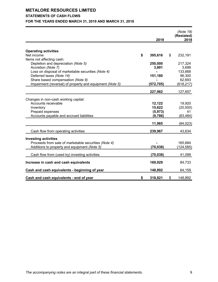# **METALORE RESOURCES LIMITED STATEMENTS OF CASH FLOWS FOR THE YEARS ENDED MARCH 31, 2019 AND MARCH 31, 2018**

|                                                                                |               | (Note 18)<br>(Restated) |
|--------------------------------------------------------------------------------|---------------|-------------------------|
|                                                                                | 2019          | 2018                    |
|                                                                                |               |                         |
| <b>Operating activities</b>                                                    |               |                         |
| Net income                                                                     | \$<br>395,616 | \$<br>232,191           |
| Items not affecting cash:<br>Depletion and depreciation (Note 5)               | 250,000       |                         |
| Accretion (Note 7)                                                             | 3,891         | 217,324                 |
|                                                                                |               | 3,698<br>133,668        |
| Loss on disposal of marketable securities (Note 4)<br>Deferred taxes (Note 14) |               | 96,300                  |
| Share based compensation (Note 9)                                              | 151,180       | 62,693                  |
| Impairment (reversal) of property and equipment (Note 5)                       | (572, 705)    | (618, 217)              |
|                                                                                |               |                         |
|                                                                                | 227,982       | 127,657                 |
| Changes in non-cash working capital:                                           |               |                         |
| Accounts receivable                                                            | 12,122        | 19,920                  |
| Inventory                                                                      | 15,622        | (20, 500)               |
| Prepaid expenses                                                               | (5, 973)      | 41                      |
| Accounts payable and accrued liabilities                                       | (9,786)       | (83, 484)               |
|                                                                                | 11,985        | (84, 023)               |
| Cash flow from operating activities                                            | 239,967       | 43,634                  |
| <b>Investing activities</b>                                                    |               |                         |
| Proceeds from sale of marketable securities (Note 4)                           |               | 165,684                 |
| Additions to property and equipment (Note 5)                                   | (70, 038)     | (124, 585)              |
|                                                                                |               |                         |
| Cash flow from (used by) investing activities                                  | (70, 038)     | 41,099                  |
| Increase in cash and cash equivalents                                          | 169,929       | 84,733                  |
| Cash and cash equivalents - beginning of year                                  | 148,892       | 64,159                  |
| Cash and cash equivalents - end of year                                        | \$<br>318,821 | \$<br>148,892           |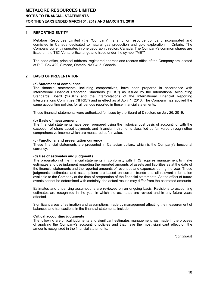#### **1. REPORTING ENTITY**

Metalore Resources Limited (the "Company") is a junior resource company incorporated and domiciled in Canada dedicated to natural gas production and gold exploration in Ontario. The Company currently operates in one geographic region, Canada. The Company's common shares are listed on the TSX Venture Exchange and trade under the symbol "MET".

The head office, principal address, registered address and records office of the Company are located at P.O. Box 422, Simcoe, Ontario, N3Y 4L5, Canada.

# **2. BASIS OF PRESENTATION**

#### **(a) Statement of compliance**

The financial statements, including comparatives, have been prepared in accordance with International Financial Reporting Standards ("IFRS") as issued by the International Accounting Standards Board ("IASB") and the Interpretations of the International Financial Reporting Interpretations Committee ("IFRIC") and in effect as at April 1, 2018. The Company has applied the same accounting policies for all periods reported in these financial statements.

These financial statements were authorized for issue by the Board of Directors on July 26, 2019.

#### **(b) Basis of measurement**

The financial statements have been prepared using the historical cost basis of accounting, with the exception of share based payments and financial instruments classified as fair value through other comprehensive income which are measured at fair value.

#### **(c) Functional and presentation currency**

These financial statements are presented in Canadian dollars, which is the Company's functional currency.

#### **(d) Use of estimates and judgments**

The preparation of the financial statements in conformity with IFRS requires management to make estimates and use judgment regarding the reported amounts of assets and liabilities as at the date of the financial statements and the reported amounts of revenues and expenses during the year. These judgments, estimates, and assumptions are based on current trends and all relevant information available to the Company at the time of preparation of the financial statements. As the effect of future events cannot be determined with certainty, the actual results may differ from the estimated amounts.

Estimates and underlying assumptions are reviewed on an ongoing basis. Revisions to accounting estimates are recognized in the year in which the estimates are revised and in any future years affected.

Significant areas of estimation and assumptions made by management affecting the measurement of balances and transactions in the financial statements include:

#### **Critical accounting judgments**

The following are critical judgments and significant estimates management has made in the process of applying the Company's accounting policies and that have the most significant effect on the amounts recognized in the financial statements.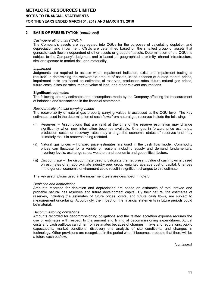#### **2. BASIS OF PRESENTATION** *(continued)*

#### *Cash-generating units ("CGU")*

The Company's assets are aggregated into CGUs for the purposes of calculating depletion and depreciation and impairment. CGUs are determined based on the smallest group of assets that generate cash flows independent of other assets or groups of assets. Determination of the CGUs is subject to the Company's judgment and is based on geographical proximity, shared infrastructure, similar exposure to market risk, and materiality.

#### *Impairment*

Judgments are required to assess when impairment indicators exist and impairment testing is required. In determining the recoverable amount of assets, in the absence of quoted market prices, impairment tests are based on estimates of reserves, production rates, future natural gas prices, future costs, discount rates, market value of land, and other relevant assumptions.

#### **Significant estimates**

The following are key estimates and assumptions made by the Company affecting the measurement of balances and transactions in the financial statements.

#### *Recoverability of asset carrying values*

The recoverability of natural gas property carrying values is assessed at the CGU level. The key estimates used in the determination of cash flows from natural gas reserves include the following:

- (i) Reserves Assumptions that are valid at the time of the reserve estimation may change significantly when new information becomes available. Changes in forward price estimates, production costs, or recovery rates may change the economic status of reserves and may ultimately result in reserves being restated.
- (ii) Natural gas prices Forward price estimates are used in the cash flow model. Commodity prices can fluctuate for a variety of reasons including supply and demand fundamentals, inventory levels, exchange rates, weather, and economic and geopolitical factors.
- (iii) Discount rate The discount rate used to calculate the net present value of cash flows is based on estimates of an approximate industry peer group weighted average cost of capital. Changes in the general economic environment could result in significant changes to this estimate.

The key assumptions used in the impairment tests are described in note 5.

#### *Depletion and depreciation*

Amounts recorded for depletion and depreciation are based on estimates of total proved and probable natural gas reserves and future development capital. By their nature, the estimates of reserves, including the estimates of future prices, costs, and future cash flows, are subject to measurement uncertainty. Accordingly, the impact on the financial statements in future periods could be material.

#### *Decommissioning obligations*

Amounts recorded for decommissioning obligations and the related accretion expense requires the use of estimates with respect to the amount and timing of decommissioning expenditures. Actual costs and cash outflows can differ from estimates because of changes in laws and regulations, public expectations, market conditions, discovery and analysis of site conditions, and changes in technology. Other provisions are recognized in the period when it becomes probable that there will be a future cash outflow.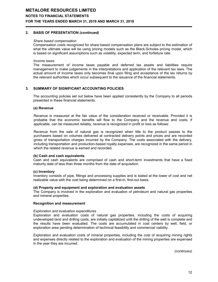#### **2. BASIS OF PRESENTATION** *(continued)*

#### *Share based compensation*

Compensation costs recognized for share based compensation plans are subject to the estimation of what the ultimate value will be using pricing models such as the Black-Scholes pricing model, which is based on significant assumptions such as volatility, expected term, and forfeiture rate.

#### *Income taxes*

The measurement of income taxes payable and deferred tax assets and liabilities require management to make judgements in the interpretations and application of the relevant tax laws. The actual amount of income taxes only becomes final upon filing and acceptance of the tax returns by the relevant authorities which occur subsequent to the issuance of the financial statements.

#### **3. SUMMARY OF SIGNIFICANT ACCOUNTING POLICIES**

The accounting policies set out below have been applied consistently by the Company to all periods presented in these financial statements.

#### **(a) Revenue**

Revenue is measured at the fair value of the consideration received or receivable. Provided it is probable that the economic benefits will flow to the Company and the revenue and costs, if applicable, can be measured reliably, revenue is recognized in profit or loss as follows:

Revenue from the sale of natural gas is recognized when title to the product passes to the purchasers based on volumes delivered at contracted delivery points and prices and are recorded gross of transportation charges incurred by the Company. The costs associated with the delivery, including transportation and production-based royalty expenses, are recognized in the same period in which the related revenue is earned and recorded.

#### **(b) Cash and cash equivalents**

Cash and cash equivalents are comprised of cash and short-term investments that have a fixed maturity date of less than three months from the date of acquisition.

#### **(c) Inventory**

Inventory consists of pipe, fittings and processing supplies and is stated at the lower of cost and net realizable value with the cost being determined on a first-in, first-out basis.

#### **(d) Property and equipment and exploration and evaluation assets**

The Company is involved in the exploration and evaluation of petroleum and natural gas properties and mineral properties.

#### **Recognition and measurement**

#### *Exploration and evaluation expenditures*

Exploration and evaluation costs of natural gas properties, including the costs of acquiring undeveloped land and drilling costs, are initially capitalized until the drilling of the well is complete and the results have been evaluated. The costs are accumulated in cost centers by well, field, or exploration area pending determination of technical feasibility and commercial viability.

Exploration and evaluation costs of mineral properties, including the cost of acquiring mining rights and expenses directly related to the exploration and evaluation of the mining properties are expensed in the year they are incurred.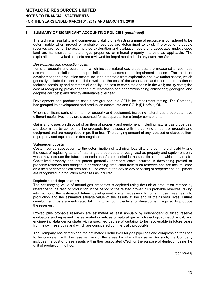The technical feasibility and commercial viability of extracting a mineral resource is considered to be determinable when proved or probable reserves are determined to exist. If proved or probable reserves are found, the accumulated exploration and evaluation costs and associated undeveloped land are transferred to natural gas properties or mineral property interests as applicable. The exploration and evaluation costs are reviewed for impairment prior to any such transfer.

#### *Development and production costs*

Items of property and equipment, which include natural gas properties, are measured at cost less accumulated depletion and depreciation and accumulated impairment losses. The cost of development and production assets includes: transfers from exploration and evaluation assets, which generally include the cost to drill the well and the cost of the associated land upon determination of technical feasibility and commercial viability; the cost to complete and tie-in the well; facility costs; the cost of recognizing provisions for future restoration and decommissioning obligations; geological and geophysical costs; and directly attributable overhead.

Development and production assets are grouped into CGUs for impairment testing. The Company has grouped its development and production assets into one CGU: (i) Norfolk, ON.

When significant parts of an item of property and equipment, including natural gas properties, have different useful lives, they are accounted for as separate items (major components).

Gains and losses on disposal of an item of property and equipment, including natural gas properties, are determined by comparing the proceeds from disposal with the carrying amount of property and equipment and are recognized in profit or loss. The carrying amount of any replaced or disposed item of property and equipment is derecognized.

#### **Subsequent costs**

Costs incurred subsequent to the determination of technical feasibility and commercial viability and the costs of replacing parts of natural gas properties are recognized as property and equipment only when they increase the future economic benefits embodied in the specific asset to which they relate. Capitalized property and equipment generally represent costs incurred in developing proved or probable reserves and bringing in or enhancing production from such reserves and are accumulated on a field or geotechnical area basis. The costs of the day-to-day servicing of property and equipment are recognized in production expenses as incurred.

#### **Depletion and depreciation**

The net carrying value of natural gas properties is depleted using the unit of production method by reference to the ratio of production in the period to the related proved plus probable reserves, taking into account the estimated future development costs necessary to bring those reserves into production and the estimated salvage value of the assets at the end of their useful lives. Future development costs are estimated taking into account the level of development required to produce the reserves.

Proved plus probable reserves are estimated at least annually by independent qualified reserve evaluators and represent the estimated quantities of natural gas which geological, geophysical, and engineering data demonstrate with a specified degree of certainty to be recoverable in future years from known reservoirs and which are considered commercially producible.

The Company has determined the estimated useful lives for gas pipelines and compression facilities to be consistent with the reserve lives of the areas for which they serve. As such, the Company includes the cost of these assets within their associated CGU for the purpose of depletion using the unit of production method.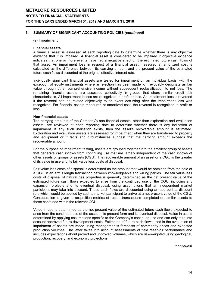#### **(e) Impairment**

#### **Financial assets**

A financial asset is assessed at each reporting date to determine whether there is any objective evidence that it is impaired. A financial asset is considered to be impaired if objective evidence indicates that one or more events have had a negative effect on the estimated future cash flows of that asset. An impairment loss in respect of a financial asset measured at amortized cost is calculated as the difference between its carrying amount and the present value of the estimated future cash flows discounted at the original effective interest rate.

Individually significant financial assets are tested for impairment on an individual basis, with the exception of equity instruments where an election has been made to irrevocably designate as fair value through other comprehensive income without subsequent reclassification to net loss. The remaining financial assets are assessed collectively in groups that share similar credit risk characteristics. All impairment losses are recognized in profit or loss. An impairment loss is reversed if the reversal can be related objectively to an event occurring after the impairment loss was recognized. For financial assets measured at amortized cost, the reversal is recognized in profit or loss.

#### **Non-financial assets**

The carrying amounts of the Company's non-financial assets, other than exploration and evaluation assets, are reviewed at each reporting date to determine whether there is any indication of impairment. If any such indication exists, then the asset's recoverable amount is estimated. Exploration and evaluation assets are assessed for impairment when they are transferred to property and equipment or if facts and circumstances suggest that the carrying amount exceeds the recoverable amount.

For the purpose of impairment testing, assets are grouped together into the smallest group of assets that generate cash inflows from continuing use that are largely independent of the cash inflows of other assets or groups of assets (CGU). The recoverable amount of an asset or a CGU is the greater of its value in use and its fair value less costs of disposal.

Fair value less costs of disposal is determined as the amount that would be obtained from the sale of a CGU in an arm's length transaction between knowledgeable and willing parties. The fair value less costs of disposal of natural gas properties is generally determined as the net present value of the estimated future cash flows expected to arise from the continued use of the CGU, including any expansion projects and its eventual disposal, using assumptions that an independent market participant may take into account. These cash flows are discounted using an appropriate discount rate which would be applied by such a market participant to arrive at a net present value of the CGU. Consideration is given to acquisition metrics of recent transactions completed on similar assets to those contained within the relevant CGU.

Value in use is determined as the net present value of the estimated future cash flows expected to arise from the continued use of the asset in its present form and its eventual disposal. Value in use is determined by applying assumptions specific to the Company's continued use and can only take into account approved future development costs. Estimates of future cash flows used in the evaluation of impairment of assets are made using management's forecasts of commodity prices and expected production volumes. The latter takes into account assessments of field reservoir performance and includes expectations about proved and unproved volumes, which are risk-weighted using geological, production, recovery, and economic projections.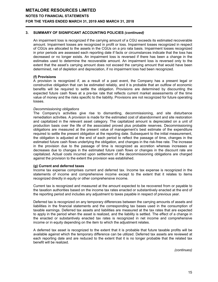An impairment loss is recognized if the carrying amount of a CGU exceeds its estimated recoverable amount. Impairment losses are recognized in profit or loss. Impairment losses recognized in respect of CGUs are allocated to the assets in the CGUs on a pro rata basis. Impairment losses recognized in prior periods are assessed each reporting date if facts or circumstances indicate that the loss has decreased or no longer exists. An impairment loss is reversed if there has been a change in the estimates used to determine the recoverable amount. An impairment loss is reversed only to the extent that the asset's carrying amount does not exceed the carrying amount that would have been determined, net of depletion and depreciation, if no impairment loss had been recognized.

#### **(f) Provisions**

A provision is recognized if, as a result of a past event, the Company has a present legal or constructive obligation that can be estimated reliably, and it is probable that an outflow of economic benefits will be required to settle the obligation. Provisions are determined by discounting the expected future cash flows at a pre-tax rate that reflects current market assessments of the time value of money and the risks specific to the liability. Provisions are not recognized for future operating losses.

#### *Decommissioning obligations*

The Company's activities give rise to dismantling, decommissioning, and site disturbance remediation activities. A provision is made for the estimated cost of abandonment and site restoration and capitalized in the relevant asset category. The capitalized amount is depreciated on a unit of production basis over the life of the associated proved plus probable reserves. Decommissioning obligations are measured at the present value of management's best estimate of the expenditure required to settle the present obligation at the reporting date. Subsequent to the initial measurement, the obligation is adjusted at the end of each period to reflect the passage of time, changes in the estimated future cash flows underlying the obligation, and changes in the risk-free rate. The increase in the provision due to the passage of time is recognized as accretion whereas increases or decreases due to changes in the estimated future cash flows or changes in the discount rate are capitalized. Actual costs incurred upon settlement of the decommissioning obligations are charged against the provision to the extent the provision was established.

#### **(g) Current and deferred taxes**

Income tax expense comprises current and deferred tax. Income tax expense is recognized in the statements of income and comprehensive income except to the extent that it relates to items recognized directly in equity or other comprehensive income.

Current tax is recognized and measured at the amount expected to be recovered from or payable to the taxation authorities based on the income tax rates enacted or substantively enacted at the end of the reporting period and includes any adjustment to taxes payable in respect of previous year.

Deferred tax is recognized on any temporary differences between the carrying amounts of assets and liabilities in the financial statements and the corresponding tax bases used in the consumption of taxable earnings. Deferred tax assets and liabilities are measured at the tax rates that are expected to apply in the period when the asset is realized, and the liability is settled. The effect of a change in the enacted or substantively enacted tax rates is recognized in net income and comprehensive income or in equity depending on the item to which the adjustment relates.

A deferred tax asset is recognized to the extent that it is probable that future taxable profits will be available against which the temporary difference can be utilized. Deferred tax assets are reviewed at each reporting date and are reduced to the extent that it is no longer probable that the related tax benefit will be realized.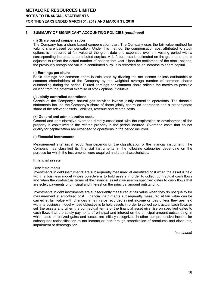#### **(h) Share based compensation**

The Company has a share based compensation plan. The Company uses the fair value method for valuing share based compensation. Under this method, the compensation cost attributed to stock options is measured at fair value at the grant date and expensed over the vesting period with a corresponding increase to contributed surplus. A forfeiture rate is estimated on the grant date and is adjusted to reflect the actual number of options that vest. Upon the settlement of the stock options, the previously recognized value in contributed surplus is recorded as an increase to share capital.

#### **(i) Earnings per share**

Basic earnings per common share is calculated by dividing the net income or loss attributable to common shareholders of the Company by the weighted average number of common shares outstanding during the period. Diluted earnings per common share reflects the maximum possible dilution from the potential exercise of stock options, if dilutive.

#### **(j) Jointly controlled operations**

Certain of the Company's natural gas activities involve jointly controlled operations. The financial statements include the Company's share of these jointly controlled operations and a proportionate share of the relevant assets, liabilities, revenue and related costs.

#### **(k) General and administrative costs**

General and administrative overhead directly associated with the exploration or development of the property is capitalized to the related property in the period incurred. Overhead costs that do not qualify for capitalization are expensed to operations in the period incurred.

#### **(l) Financial instruments**

Measurement after initial recognition depends on the classification of the financial instrument. The Company has classified its financial instruments in the following categories depending on the purpose for which the instruments were acquired and their characteristics.

#### **Financial assets**

#### *Debt instruments*

Investments in debt instruments are subsequently measured at amortized cost when the asset is held within a business model whose objective is to hold assets in order to collect contractual cash flows and when the contractual terms of the financial asset give rise on specified dates to cash flows that are solely payments of principal and interest on the principal amount outstanding.

Investments in debt instruments are subsequently measured at fair value when they do not qualify for measurement at amortized cost. Financial instruments subsequently measured at fair value can be carried at fair value with changes in fair value recorded in net income or loss unless they are held within a business model whose objective is to hold assets in order to collect contractual cash flows or sell the assets and when the contractual terms of the financial asset give rise on specified dates to cash flows that are solely payments of principal and interest on the principal amount outstanding, in which case unrealized gains and losses are initially recognized in other comprehensive income for subsequent reclassification to net income or loss through amortization of premiums and discounts, impairment or derecognition.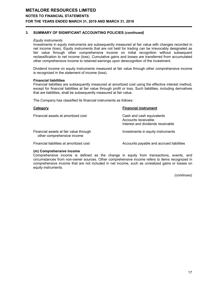#### *Equity instruments*

Investments in equity instruments are subsequently measured at fair value with changes recorded in net income (loss). Equity instruments that are not held for trading can be irrevocably designated as fair value through other comprehensive income on initial recognition without subsequent reclassification to net income (loss). Cumulative gains and losses are transferred from accumulated other comprehensive income to retained earnings upon derecognition of the investment.

Dividend income on equity instruments measured at fair value through other comprehensive income is recognized in the statement of income (loss).

#### **Financial liabilities**

Financial liabilities are subsequently measured at amortized cost using the effective interest method, except for financial liabilities at fair value through profit or loss. Such liabilities, including derivatives that are liabilities, shall be subsequently measured at fair value.

The Company has classified its financial instruments as follows:

| <b>Category</b>                                                      | <b>Financial instrument</b>                                                           |
|----------------------------------------------------------------------|---------------------------------------------------------------------------------------|
| Financial assets at amortized cost                                   | Cash and cash equivalents<br>Accounts receivable<br>Interest and dividends receivable |
| Financial assets at fair value through<br>other comprehensive income | Investments in equity instruments                                                     |
| Financial liabilities at amortized cost                              | Accounts payable and accrued liabilities                                              |

#### **(m) Comprehensive income**

Comprehensive income is defined as the change in equity from transactions, events, and circumstances from non-owner sources. Other comprehensive income refers to items recognized in comprehensive income that are not included in net income, such as unrealized gains or losses on equity instruments.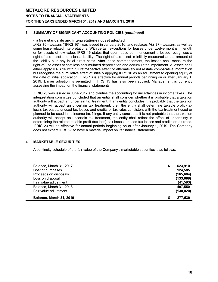# **METALORE RESOURCES LIMITED NOTES TO FINANCIAL STATEMENTS FOR THE YEARS ENDED MARCH 31, 2019 AND MARCH 31, 2018**

## **3. SUMMARY OF SIGNIFICANT ACCOUNTING POLICIES** *(continued)*

#### **(n) New standards and interpretations not yet adopted**

*IFRS 16 – Leases* ("IFRS 16") was issued in January 2016, and replaces *IAS 17 – Leases*, as well as some lease related interpretations. With certain exceptions for leases under twelve months in length or for assets of low value, IFRS 16 states that upon lease commencement a lessee recognises a right-of-use asset and a lease liability. The right-of-use asset is initially measured at the amount of the liability plus any initial direct costs. After lease commencement, the lessee shall measure the right-of-use asset at cost less accumulated depreciation and accumulated impairment. A lessee shall either apply IFRS 16 with full retrospective effect or alternatively not restate comparative information but recognise the cumulative effect of initially applying IFRS 16 as an adjustment to opening equity at the date of initial application. IFRS 16 is effective for annual periods beginning on or after January 1, 2019. Earlier adoption is permitted if IFRS 15 has also been applied. Management is currently assessing the impact on the financial statements.

IFRIC 23 was issued in June 2017 and clarifies the accounting for uncertainties in income taxes. The interpretation committee concluded that an entity shall consider whether it is probable that a taxation authority will accept an uncertain tax treatment. If any entity concludes it is probably that the taxation authority will accept an uncertain tax treatment, then the entity shall determine taxable profit (tax loss), tax bases, unused tax losses and credits or tax rates consistent with the tax treatment used or planned to be used in its income tax filings. If any entity concludes it is not probable that the taxation authority will accept an uncertain tax treatment, the entity shall reflect the effect of uncertainty in determining the related taxable profit (tax loss), tax bases, unused tax losses and credits or tax rates. IFRIC 23 will be effective for annual periods beginning on or after January 1, 2019. The Company does not expect IFRS 23 to have a material impact on its financial statements.

#### **4. MARKETABLE SECURITIES**

A continuity schedule of the fair value of the Company's marketable securities is as follows:

| Balance, March 31, 2017        | S | 623,910    |
|--------------------------------|---|------------|
| Cost of purchases              |   | 124,585    |
| Proceeds on disposals          |   | (165, 684) |
| Loss on disposal               |   | (133, 668) |
| Fair value adjustment          |   | (41, 593)  |
| Balance, March 31, 2018        |   | 407,550    |
| Fair value adjustment          |   | (130,020)  |
|                                |   |            |
| <b>Balance, March 31, 2019</b> |   | 277,530    |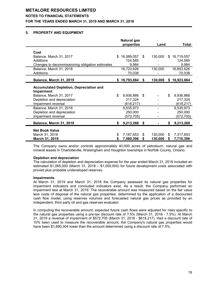# **METALORE RESOURCES LIMITED NOTES TO FINANCIAL STATEMENTS FOR THE YEARS ENDED MARCH 31, 2019 AND MARCH 31, 2018**

# **5. PROPERTY AND EQUIPMENT**

|                                                              |    | <b>Natural gas</b><br>properties |    | Land    |    | Total      |
|--------------------------------------------------------------|----|----------------------------------|----|---------|----|------------|
| Cost                                                         |    |                                  |    |         |    |            |
| Balance, March 31, 2017                                      | \$ | 16,589,057                       | \$ | 130,000 | \$ | 16,719,057 |
| Additions                                                    |    | 124,585                          |    |         |    | 124,585    |
| Changes to decommissioning obligation estimates              |    | 9,984                            |    |         |    | 9,984      |
| Balance, March 31, 2018                                      |    | 16,723,626                       |    | 130,000 |    | 16,853,626 |
| <b>Additions</b>                                             |    | 70,038                           |    |         |    | 70,038     |
| Balance, March 31, 2019                                      |    | \$16,793,664                     | -S | 130,000 | S. | 16,923,664 |
| <b>Accumulated Depletion, Depreciation and</b><br>Impairment |    |                                  |    |         |    |            |
| Balance, March 31, 2017                                      | \$ | 9,936,866                        | \$ |         | \$ | 9,936,866  |
| Depletion and depreciation                                   |    | 217,324                          |    |         |    | 217,324    |
| Impairment reversal                                          |    | (618, 217)                       |    |         |    | (618, 217) |
| Balance, March 31, 2018                                      |    | 9,535,973                        |    |         |    | 9,535,973  |
| Depletion and depreciation                                   |    | 250,000                          |    |         |    | 250,000    |
| Impairment reversal                                          |    | (572,705)                        |    |         |    | (572, 705) |
| Balance, March 31, 2019                                      | S. | $9,213,268$ \$                   |    |         | S. | 9,213,268  |
| <b>Net Book Value</b>                                        |    |                                  |    |         |    |            |
| March 31, 2018                                               | \$ | 7,187,653                        | \$ | 130,000 | \$ | 7,317,653  |
| March 31, 2019                                               | \$ | 7,580,396                        | \$ | 130,000 | \$ | 7,710,396  |

The Company owns and/or controls approximately 40,000 acres of petroleum, natural gas and mineral leases in Charlotteville, Walsingham and Houghton townships in Norfolk County, Ontario.

# **Depletion and depreciation**

The calculation of depletion and depreciation expense for the year ended March 31, 2019 included an estimated \$1,065,000 (March 31, 2018 – \$1,050,000) for future development costs associated with proved plus probable undeveloped reserves.

#### **Impairments**

At March 31, 2019 and March 31, 2018 the Company assessed its natural gas properties for impairment indicators and concluded indicators exist. As a result, the Company performed an impairment test at March 31, 2019. The recoverable amount was measured based on the fair value less costs of disposal of the natural gas properties, determined by the application of a discounted cash flow model, using reserves volumes and forecasted natural gas prices as provided by an independent, third party oil and gas reserves evaluator.

In computing the recoverable amount, expected future cash flows were adjusted for risks specific to the natural gas properties using a pre-tax discount rate of 7.5% (March 31, 2018 - 7.5%). At March 31, 2019 a reversal of impairment of \$572,705 (March 31, 2018 - \$618,217). Had a discount rate of 10% been used to measure the recoverable amount, the Company's natural gas properties would have been \$1,690,304 lower than the amount determined using a discount rate of 7.5%.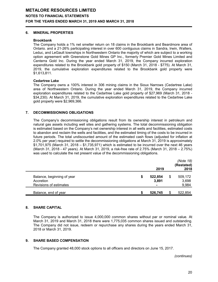#### **6. MINERAL PROPERTIES**

#### **Brookbank**

The Company holds a 1% net smelter return on 18 claims in the Brookbank and Beardmore area of Ontario. and a 21-26% participating interest in over 600 contiguous claims in Sandra, Irwin, Walters, Leduc, and LeGault townships in Northwestern Ontario the majority of which are subject to a working option agreement with Greenstone Gold Mines GP Inc., formerly Premier Gold Mines Limited and Centerra Gold Inc. During the year ended March 31, 2019, the Company incurred exploration expenditures related to the Brookbank gold property of \$150 (March 31, 2018 - \$775). At March 31, 2019, the cumulative exploration expenditures related to the Brookbank gold property were \$1,613,811.

#### **Cedartree Lake**

The Company owns a 100% interest in 306 mining claims in the Sioux Narrows (Cedartree Lake) area of Northwestern Ontario. During the year ended March 31, 2019, the Company incurred exploration expenditures related to the Cedartree Lake gold property of \$27,969 (March 31, 2018 - \$34,230). At March 31, 2019, the cumulative exploration expenditures related to the Cedartree Lake gold property were \$2,969,366.

#### **7. DECOMMISSIONING OBLIGATIONS**

The Company's decommissioning obligations result from its ownership interest in petroleum and natural gas assets including well sites and gathering systems. The total decommissioning obligation is estimated based on the Company's net ownership interest in all wells and facilities, estimated costs to abandon and reclaim the wells and facilities, and the estimated timing of the costs to be incurred in future periods. The total undiscounted amount of the estimated cash flows (adjusted for inflation at 2.0% per year) required to settle the decommissioning obligations at March 31, 2019 is approximately \$1,701,975 (March 31, 2018 – \$1,735,971) which is estimated to be incurred over the next 46 years (March 31, 2018 - 47 years). At March 31, 2019, a risk-free rate of 2.75% (March 31, 2018 – 2.75%) was used to calculate the net present value of the decommissioning obligations.

|                                                                   |   | 2019                               | (Note 18)<br>(Restated)<br>2018 |
|-------------------------------------------------------------------|---|------------------------------------|---------------------------------|
| Balance, beginning of year<br>Accretion<br>Revisions of estimates | S | 522,854<br>3,891<br>$\blacksquare$ | \$<br>509,172<br>3,698<br>9,984 |
| Balance, end of year                                              |   | 526,745                            | 522,854                         |

#### **8. SHARE CAPITAL**

The Company is authorized to issue 4,000,000 common shares without par or nominal value. At March 31, 2019 and March 31, 2018 there were 1,775,035 common shares issued and outstanding. The Company did not issue, redeem or repurchase any shares during the years ended March 31, 2018 or March 31, 2019.

#### **9. SHARE BASED COMPENSATION**

The Company granted 48,000 stock options to all officers and directors on June 15, 2017.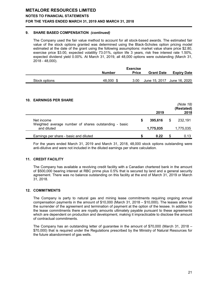## **9. SHARE BASED COMPENSATION** *(continued)*

The Company used the fair value method to account for all stock-based awards. The estimated fair value of the stock options granted was determined using the Black-Scholes option pricing model estimated at the date of the grant using the following assumptions: market value share price \$2.80, exercise price \$3.00, expected volatility 73.01%, option life 3 years, risk free interest rate 1.50%, expected dividend yield 0.00%. At March 31, 2019, all 48,000 options were outstanding (March 31, 2018 - 48,000).

|               |           | <b>Exercise</b> |                             |                    |
|---------------|-----------|-----------------|-----------------------------|--------------------|
|               | Number    | <b>Price</b>    | <b>Grant Date</b>           | <b>Expiry Date</b> |
|               |           |                 |                             |                    |
| Stock options | 48,000 \$ | 3.00            | June 15, 2017 June 16, 2020 |                    |

#### **10. EARNINGS PER SHARE**

|                                                                     |   | 2019      |   | (Note 18)<br>(Restated)<br>2018 |
|---------------------------------------------------------------------|---|-----------|---|---------------------------------|
| Net income<br>Weighted average number of shares outstanding - basic | S | 395,616   | S | 232.191                         |
| and diluted                                                         |   | 1,775,035 |   | 1,775,035                       |
| Earnings per share - basic and diluted                              |   | 0.22      | S | 0.13                            |

For the years ended March 31, 2019 and March 31, 2018, 48,000 stock options outstanding were anti-dilutive and were not included in the diluted earnings per share calculation.

#### **11. CREDIT FACILITY**

The Company has available a revolving credit facility with a Canadian chartered bank in the amount of \$500,000 bearing interest at RBC prime plus 0.5% that is secured by land and a general security agreement. There was no balance outstanding on this facility at the end of March 31, 2019 or March 31, 2018.

#### **12. COMMITMENTS**

The Company is party to natural gas and mining lease commitments requiring ongoing annual compensation payments in the amount of \$10,000 (March 31, 2018 – \$10,000). The leases allow for the surrender of the agreement and termination of payment at the option of the lessee. In addition to the lease commitments there are royalty amounts ultimately payable pursuant to these agreements which are dependent on production and development, making it impracticable to disclose the amount of contractual commitments.

The Company has an outstanding letter of guarantee in the amount of \$70,000 (March 31, 2018 – \$70,000) that is required under the Regulations prescribed by the Ministry of Natural Resources for the future abandonment of gas wells.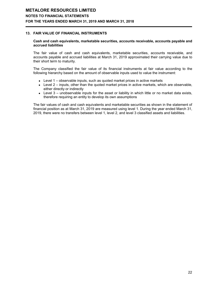#### **13. FAIR VALUE OF FINANCIAL INSTRUMENTS**

#### **Cash and cash equivalents, marketable securities, accounts receivable, accounts payable and accrued liabilities**

The fair value of cash and cash equivalents, marketable securities, accounts receivable, and accounts payable and accrued liabilities at March 31, 2019 approximated their carrying value due to their short term to maturity.

The Company classified the fair value of its financial instruments at fair value according to the following hierarchy based on the amount of observable inputs used to value the instrument:

- Level 1 observable inputs, such as quoted market prices in active markets
- $\bullet$  Level 2 inputs, other than the quoted market prices in active markets, which are observable, either directly or indirectly
- Level 3 unobservable inputs for the asset or liability in which little or no market data exists, therefore requiring an entity to develop its own assumptions

The fair values of cash and cash equivalents and marketable securities as shown in the statement of financial position as at March 31, 2019 are measured using level 1. During the year ended March 31, 2019, there were no transfers between level 1, level 2, and level 3 classified assets and liabilities.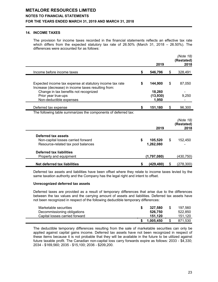# **14. INCOME TAXES**

The provision for income taxes recorded in the financial statements reflects an effective tax rate which differs from the expected statutory tax rate of 26.50% (March 31, 2018 – 26.50%). The differences were accounted for as follows:

|                                                                                                                 |    | 2019        | (Note 18)<br>(Restated)<br>2018 |
|-----------------------------------------------------------------------------------------------------------------|----|-------------|---------------------------------|
| Income before income taxes                                                                                      | \$ | 546,796     | \$<br>328,491                   |
|                                                                                                                 |    |             |                                 |
| Expected income tax expense at statutory income tax rate<br>Increase (decrease) in income taxes resulting from: | \$ | 144,900     | \$<br>87,050                    |
| Change in tax benefits not recognized                                                                           |    | 18,260      |                                 |
| Prior year true-ups                                                                                             |    | (13,930)    | 9,250                           |
| Non-deductible expenses                                                                                         |    | 1,950       |                                 |
| Deferred tax expense                                                                                            | \$ | 151,180     | \$<br>96,300                    |
| The following table summarizes the components of deferred tax:                                                  |    |             |                                 |
|                                                                                                                 |    | 2019        | (Note 18)<br>(Restated)<br>2018 |
|                                                                                                                 |    |             |                                 |
| Deferred tax assets                                                                                             |    |             |                                 |
| Non-capital losses carried forward                                                                              | \$ | 105,520     | \$<br>152,450                   |
| Resource-related tax pool balances                                                                              |    | 1,262,080   |                                 |
| <b>Deferred tax liabilities</b>                                                                                 |    |             |                                 |
| Property and equipment                                                                                          |    | (1,797,080) | (430, 750)                      |
| Net deferred tax liabilities                                                                                    | S  | (429, 480)  | \$<br>(278, 300)                |

Deferred tax assets and liabilities have been offset where they relate to income taxes levied by the same taxation authority and the Company has the legal right and intent to offset.

#### **Unrecognized deferred tax assets**

Deferred taxes are provided as a result of temporary differences that arise due to the differences between the tax values and the carrying amount of assets and liabilities. Deferred tax assets have not been recognized in respect of the following deductible temporary differences:

| Marketable securities          | 327.580   | 197.560 |
|--------------------------------|-----------|---------|
| Decommissioning obligations    | 526,750   | 522.850 |
| Capital losses carried forward | 151.120   | 151,120 |
|                                | 1.005.450 | 871,530 |

The deductible temporary differences resulting from the sale of marketable securities can only be applied against capital gains income. Deferred tax assets have not been recognized in respect of these items because it is not probable that they will be available in the future to be utilized against future taxable profit. The Canadian non-capital loss carry forwards expire as follows: 2033 - \$4,330; 2034 - \$169,560; 2035 - \$15,100; 2036 - \$209,200.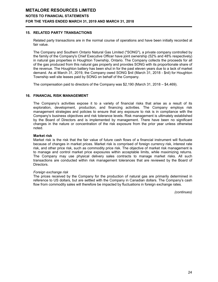#### **15. RELATED PARTY TRANSACTIONS**

Related party transactions are in the normal course of operations and have been initially recorded at fair value.

The Company and Southern Ontario Natural Gas Limited ("SONG"), a private company controlled by the family of the Company's Chief Executive Officer have joint ownership (52% and 48% respectively) in natural gas properties in Houghton Township, Ontario. The Company collects the proceeds for all of the gas produced from this natural gas property and provides SONG with its proportionate share of the revenue. The Houghton battery has been shut in for the past eleven years due to a lack of market demand. As at March 31, 2019, the Company owed SONG \$nil (March 31, 2018 - \$nil) for Houghton Township well site leases paid by SONG on behalf of the Company.

The compensation paid to directors of the Company was \$2,190 (March 31, 2018 – \$4,469).

#### **16. FINANCIAL RISK MANAGEMENT**

The Company's activities expose it to a variety of financial risks that arise as a result of its exploration, development, production, and financing activities. The Company employs risk management strategies and policies to ensure that any exposure to risk is in compliance with the Company's business objectives and risk tolerance levels. Risk management is ultimately established by the Board of Directors and is implemented by management. There have been no significant changes in the nature or concentration of the risk exposure from the prior year unless otherwise noted.

#### **Market risk**

Market risk is the risk that the fair value of future cash flows of a financial instrument will fluctuate because of changes in market prices. Market risk is comprised of foreign currency risk, interest rate risk, and other price risk, such as commodity price risk. The objective of market risk management is to manage and control market price exposures within acceptable limits, while maximizing returns. The Company may use physical delivery sales contracts to manage market risks. All such transactions are conducted within risk management tolerances that are reviewed by the Board of Directors.

#### *Foreign exchange risk*

The prices received by the Company for the production of natural gas are primarily determined in reference to US dollars, but are settled with the Company in Canadian dollars. The Company's cash flow from commodity sales will therefore be impacted by fluctuations in foreign exchange rates.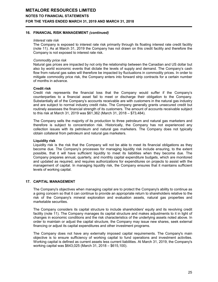#### **16. FINANCIAL RISK MANAGEMENT** *(continued)*

#### *Interest rate risk*

The Company is exposed to interest rate risk primarily through its floating interest rate credit facility (note 11). As at March 31, 2019 the Company has not drawn on this credit facility and therefore the Company is not exposed to interest rate risk.

#### *Commodity price risk*

Natural gas prices are impacted by not only the relationship between the Canadian and US dollar but also by world economic events that dictate the levels of supply and demand. The Company's cash flow from natural gas sales will therefore be impacted by fluctuations in commodity prices. In order to mitigate commodity price risk, the Company enters into forward strip contracts for a certain number of months in advance.

#### **Credit risk**

Credit risk represents the financial loss that the Company would suffer if the Company's counterparties to a financial asset fail to meet or discharge their obligation to the Company. Substantially all of the Company's accounts receivable are with customers in the natural gas industry and are subject to normal industry credit risks. The Company generally grants unsecured credit but routinely assesses the financial strength of its customers. The amount of accounts receivable subject to this risk at March 31, 2019 was \$61,362 (March 31, 2018 – \$73,484).

The Company sells the majority of its production to three petroleum and natural gas marketers and therefore is subject to concentration risk. Historically, the Company has not experienced any collection issues with its petroleum and natural gas marketers. The Company does not typically obtain collateral from petroleum and natural gas marketers.

#### **Liquidity risk**

Liquidity risk is the risk that the Company will not be able to meet its financial obligations as they become due. The Company's processes for managing liquidity risk include ensuring, to the extent possible, that it will have sufficient liquidity to meet its liabilities when they become due. The Company prepares annual, quarterly, and monthly capital expenditure budgets, which are monitored and updated as required, and requires authorizations for expenditures on projects to assist with the management of capital. In managing liquidity risk, the Company ensures that it maintains sufficient levels of working capital.

#### **17. CAPITAL MANAGEMENT**

The Company's objectives when managing capital are to protect the Company's ability to continue as a going concern so that it can continue to provide an appropriate return to shareholders relative to the risk of the Company's mineral exploration and evaluation assets, natural gas properties and marketable securities.

The Company considers its capital structure to include shareholders' equity and its revolving credit facility (note 11). The Company manages its capital structure and makes adjustments to it in light of changes in economic conditions and the risk characteristics of the underlying assets noted above. In order to maintain or adjust the capital structure, the Company may issue new shares, seek external financing or adjust its capital expenditures and other investment programs.

The Company does not have any externally imposed capital requirements. The Company's main objective is to ensure sufficiency of working capital to fund operations and investment activities. Working capital is defined as current assets less current liabilities. At March 31, 2019, the Company's working capital was \$643,025 (March 31, 2018 – \$615,100).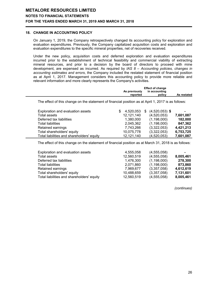#### **18. CHANGE IN ACCOUNTING POLICY**

On January 1, 2019, the Company retrospectively changed its accounting policy for exploration and evaluation expenditures. Previously, the Company capitalized acquisition costs and exploration and evaluation expenditures to the specific mineral properties, net of recoveries received.

Under the new policy, acquisition costs and deferred exploration and evaluation expenditures incurred prior to the establishment of technical feasibility and commercial viability of extracting mineral resources, and prior to a decision by the board of directors to proceed with mine development, are expensed as incurred. As required by *IAS 8 – Accounting policies, changes in accounting estimates and errors*, the Company included the restated statement of financial position as at April 1, 2017. Management considers this accounting policy to provide more reliable and relevant information and more clearly represents the Company's activities.

|             | <b>Effect of change</b> |               |
|-------------|-------------------------|---------------|
|             | in accounting           | As previously |
| As restated | policy                  | reported      |
|             |                         |               |

The effect of this change on the statement of financial position as at April 1, 2017 is as follows:

| Exploration and evaluation assets          | 4,520,053  | \$<br>$(4,520,053)$ \$ | $\blacksquare$ |
|--------------------------------------------|------------|------------------------|----------------|
| Total assets                               | 12,121,140 | (4,520,053)            | 7,601,087      |
| Deferred tax liabilities                   | 1,380,000  | (1, 198, 000)          | 182,000        |
| Total liabilities                          | 2,045,362  | (1, 198, 000)          | 847,362        |
| Retained earnings                          | 7,743,266  | (3,322,053)            | 4,421,213      |
| Total shareholders' equity                 | 10,075,778 | (3,322,053)            | 6,753,725      |
| Total liabilities and shareholders' equity | 12,121,140 | (4,520,053)            | 7,601,087      |

The effect of this change on the statement of financial position as at March 31, 2018 is as follows:

| 4,555,058  | (4, 555, 058) |           |
|------------|---------------|-----------|
| 12,560,519 | (4,555,058)   | 8,005,461 |
| 1,476,300  | (1, 198, 000) | 278,300   |
| 2,071,860  | (1, 198, 000) | 873.860   |
| 7.969.677  | (3,357,058)   | 4,612,619 |
| 10,488,659 | (3,357,058)   | 7,131,601 |
| 12,560,519 | (4,555,058)   | 8,005,461 |
|            |               |           |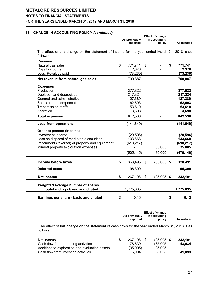# **METALORE RESOURCES LIMITED NOTES TO FINANCIAL STATEMENTS FOR THE YEARS ENDED MARCH 31, 2019 AND MARCH 31, 2018**

#### **18. CHANGE IN ACCOUNTING POLICY** *(continued)*

|                                                                                                          | As previously<br>reported | <b>Effect of change</b> | in accounting<br>policy | As restated   |
|----------------------------------------------------------------------------------------------------------|---------------------------|-------------------------|-------------------------|---------------|
|                                                                                                          |                           |                         |                         |               |
| The effect of this change on the statement of income for the year ended March 31, 2018 is as<br>follows: |                           |                         |                         |               |
| <b>Revenue</b>                                                                                           |                           |                         |                         |               |
| Natural gas sales                                                                                        | \$<br>771,741             | \$                      |                         | \$<br>771,741 |
| Royalty income                                                                                           | 2,376                     |                         |                         | 2,376         |
| Less: Royalties paid                                                                                     | (73, 230)                 |                         |                         | (73, 230)     |
| Net revenue from natural gas sales                                                                       | 700,887                   |                         |                         | 700,887       |
| <b>Expenses</b>                                                                                          |                           |                         |                         |               |
| Production                                                                                               | 377,822                   |                         |                         | 377,822       |
| Depletion and depreciation                                                                               | 217,324                   |                         |                         | 217,324       |
| General and administrative                                                                               | 127,389                   |                         |                         | 127,389       |
| Share based compensation                                                                                 | 62,693                    |                         |                         | 62,693        |
| <b>Transmission tariffs</b>                                                                              | 53,610                    |                         |                         | 53,610        |
| Accretion                                                                                                | 3,698                     |                         |                         | 3,698         |
| <b>Total expenses</b>                                                                                    | 842,536                   |                         |                         | 842,536       |
| Loss from operations                                                                                     | (141, 649)                |                         |                         | (141, 649)    |
| Other expenses (income)                                                                                  |                           |                         |                         |               |
| Investment income                                                                                        | (20, 596)                 |                         |                         | (20, 596)     |
| Loss on disposal of marketable securities                                                                | 133,668                   |                         |                         | 133,668       |
| Impairment (reversal) of property and equipment                                                          | (618, 217)                |                         |                         | (618, 217)    |
| Mineral property exploration expenses                                                                    |                           |                         | 35,005                  | 35,005        |
|                                                                                                          | (505, 145)                |                         | 35,005                  | (470, 140)    |
| Income before taxes                                                                                      | \$<br>363,496             | \$                      | $(35,005)$ \$           | 328,491       |
| <b>Deferred taxes</b>                                                                                    | 96,300                    |                         |                         | 96,300        |
| Net income                                                                                               | \$<br>267,196             | \$                      | $(35,005)$ \$           | 232,191       |
|                                                                                                          |                           |                         |                         |               |
| Weighted average number of shares<br>outstanding - basic and diluted                                     | 1,775,035                 |                         |                         | 1,775,035     |
|                                                                                                          |                           |                         |                         | 0.13          |
| Earnings per share - basic and diluted                                                                   | \$<br>0.15                |                         |                         | \$            |

|                                                                                                              |   | As previously<br>reported        | <b>Effect of change</b><br>in accounting<br>policy | As restated       |
|--------------------------------------------------------------------------------------------------------------|---|----------------------------------|----------------------------------------------------|-------------------|
| The effect of this change on the statement of cash flows for the year ended March 31, 2018 is as<br>follows: |   |                                  |                                                    |                   |
| Net income<br>Cash flow from operating activities<br>Additions to exploration and evaluation assets          | S | 267,196 \$<br>78,639<br>(35,005) | $(35,005)$ \$<br>(35,005)<br>35,005                | 232,191<br>43,634 |

Cash flow from investing activities 6,094 35,005 41,099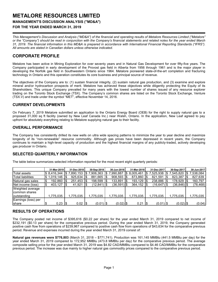# **MANAGEMENT'S DISCUSSION ANALYSIS ("MD&A")**

# **FOR THE YEAR ENDED MARCH 31, 2019**

*This Management's Discussion and Analysis ("MD&A") of the financial and operating results of Metalore Resources Limited ("Metalore" or the "Company") should be read in conjunction with the Company's financial statements and related notes for the year ended March 31, 2019. The financial information in this MD&A is prepared in accordance with International Financial Reporting Standards ("IFRS"). All amounts are stated in Canadian dollars unless otherwise indicated.* 

# **CORPORATE PROFILE**

Metalore has been active in Mining Exploration for over seventy years and in Natural Gas Development for over fifty-five years. The Company participated in early development of the Provost gas field in Alberta from 1956 through 1961 and is the major player in developing the Norfolk gas field in Southwestern Ontario since 1964. Metalore pioneered state-of-the-art completion and fracturing technology in Ontario and this operation constitutes its core business and principal source of revenue.

The objectives of the Company are to: (1) sustain financial integrity, (2) sustain natural gas production, and (3) examine and explore mineral and/or hydrocarbon prospects of merit. Metalore has achieved these objectives while diligently protecting the Equity of its Shareholders. This unique Company prevailed for many years with the lowest number of shares issued of any resource explorer trading on the Toronto Stock Exchange (TSX). The Company's common shares are listed on the Toronto Stock Exchange, Venture (TSX.V) and trade under the symbol "MET", effective November 14, 2016.

# **CURRENT DEVELOPMENTS**

On February 7, 2019 Metalore submitted an application to the Ontario Energy Board (OEB) for the right to supply natural gas to a proposed 31,000 sq ft facility (owned by New Leaf Canada Inc.) near Walsh, Ontario. In the application, New Leaf agreed to pay upfront for absolutely everything relating to Metalore supplying natural gas to their facility.

# **OVERALL PERFORMANCE**

The Company has consistently drilled its new wells on ultra wide spacing patterns to minimize the year to year decline and maximize longevity of its "non-renewable" resource commodity. Although gas prices have been depressed in recent years, the Company continues to maintain a high-level capacity of production and the highest financial margins of any publicly-traded, actively developing gas producer in Ontario.

# **SELECTED QUARTERLY INFORMATION**

The table below summarizes selected information reported for the most recent eight quarterly periods:

|                                    |              | 31-Mar-2019   |      | 31-Dec-2018          |     | 30-Sep-2018 |    | 30-Jun-2018 |   | 31-Mar-2018          |    | 31-Dec-2017    |     | 30-Sep-2017          |     | 30-Jun-2017 |
|------------------------------------|--------------|---------------|------|----------------------|-----|-------------|----|-------------|---|----------------------|----|----------------|-----|----------------------|-----|-------------|
| Total assets                       | \$ 8,416,344 |               | 1\$  | .890,153             | 1\$ | .906.363    | \$ | ,990,887    | S | 8,005,461            | 15 | 7,525,938      | 1\$ | 7,545,820            | 1\$ | .538,084    |
| <b>Total liabilities</b>           | ∣\$ 1        | l.019.146 I\$ |      | 925,634              |     | 881,665     |    | 908,593     |   | 873,860   \$         |    | 821,591        |     | 823,387              |     | 827,639     |
| Natural gas sales                  |              | 192,860   \$  |      | $251,453$ $\sqrt{5}$ |     | 198,599     | 15 | 133,891     |   | $193,129$ $\sqrt{5}$ |    | 238,886        |     | $178,929$ $\sqrt{5}$ |     | 160,797     |
| Net income (loss)                  |              | 403,127       | -1\$ | 41.921               | 1\$ | (12,841) \$ |    | (36,591) \$ |   | $364,152$  \$        |    | $(16, 647)$ \$ |     | $(36, 846)$ \$       |     | (78,468)    |
| Weighted average<br>Icommon shares |              |               |      |                      |     |             |    |             |   |                      |    |                |     |                      |     |             |
| loutstanding                       |              | 1,775,035     |      | 1,775,035            |     | 1.775.035   |    | 1.775.035   |   | 1,775,035            |    | 1,775,035      |     | 1.775.035            |     | 1,775,035   |
| Earnings (loss) per                |              |               |      |                      |     |             |    |             |   |                      |    |                |     |                      |     |             |
| ∣share                             |              | $0.23$   \$   |      | $0.02$  \$           |     | $(0.01)$ \$ |    | $(0.02)$ \$ |   | $0.21$ $\sqrt{3}$    |    |                |     | $(0.02)$ \$          |     | (0.04)      |

# **RESULTS OF OPERATIONS**

The Company posted net income of \$395,616 (\$0.22 per share) for the year ended March 31, 2019 compared to net income of \$232,191 (\$0.13 per share) for the comparative previous period. During the year ended March 31, 2019, the Company generated positive cash flow from operations of \$239,967 compared to positive cash flow from operations of \$43,634 for the comparative previous period. Revenue and expenses incurred during the year ended March 31, 2019 consist of:

**Natural gas revenues were \$776,803** (March 31, 2018 – \$771,741). Production was 161,145 MMBtu (441.5 MMBtu per day) for the year ended March 31, 2019 compared to 172,952 MMBtu (473.8 MMBtu per day) for the comparative previous period. The average composite selling price for the year ended March 31, 2019 was \$4.82 CAD/MMBtu compared to \$4.46 CAD/MMBtu for the comparative previous period. The increase was due mainly to higher natural gas commodity prices compared to the comparative previous period.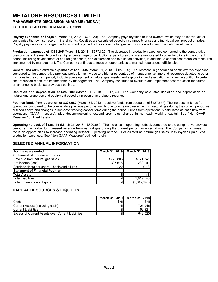# **MANAGEMENT'S DISCUSSION ANALYSIS ("MD&A")**

# **FOR THE YEAR ENDED MARCH 31, 2019**

**Royalty expenses of \$54,063** (March 31, 2018 – \$73,230). The Company pays royalties to land owners, which may be individuals or companies that own surface or mineral rights. Royalties are calculated based on commodity prices and individual well production rates. Royalty payments can change due to commodity price fluctuations and changes in production volumes on a well-by-well basis.

**Production expenses of \$336,295** (March 31, 2018 – \$377,822). The decrease in production expenses compared to the comparative previous period is mainly due to a higher percentage of production expenditures that were reallocated to other functions in the current period, including development of natural gas assets, and exploration and evaluation activities, in addition to certain cost reduction measures implemented by management. The Company continues to focus on opportunities to maintain operational efficiencies.

**General and administrative expenses of \$113,845** (March 31, 2018 – \$127,389). The decrease in general and administrative expenses compared to the comparative previous period is mainly due to a higher percentage of management's time and resources devoted to other functions in the current period, including development of natural gas assets, and exploration and evaluation activities, in addition to certain cost reduction measures implemented by management. The Company continues to evaluate and implement cost reduction measures on an ongoing basis, as previously outlined.

**Depletion and depreciation of \$250,000** (March 31, 2018 – \$217,324). The Company calculates depletion and depreciation on natural gas properties and equipment based on proven plus probable reserves.

**Positive funds from operation of \$227,982** (March 31, 2018 – positive funds from operation of \$127,657). The increase in funds from operations compared to the comparative previous period is mainly due to increased revenue from natural gas during the current period, as outlined above and changes in non-cash working capital items during the period. Funds from operations is calculated as cash flow from operations (GAAP measure), plus decommissioning expenditures, plus change in non-cash working capital. See "Non-GAAP Measures" outlined herein.

**Operating netback of \$386,445** (March 31, 2018 – \$320,689). The increase in operating netback compared to the comparative previous period is mainly due to increased revenue from natural gas during the current period, as noted above. The Company continues to focus on opportunities to increase operating netback. Operating netback is calculated as natural gas sales, less royalties paid, less production expenses. See "Non-GAAP Measures" outlined herein.

# **SELECTED ANNUAL INFORMATION**

| For the years ended:                          | March 31, 2019 | March 31, 2018 |
|-----------------------------------------------|----------------|----------------|
| <b>Statement of Income and Loss</b>           |                |                |
| Revenue from natural gas sales                | \$776,803      | \$771,741      |
| Net income (loss)                             | 395,616        | 232,191        |
| Earnings (loss) per share – basic and diluted | 0.22           | 0.13           |
| <b>Statement of Financial Position</b>        |                |                |
| <b>Total Assets</b>                           | nil            | nil            |
| <b>Total Liabilities</b>                      | nil            | 1,019,146      |
| Total Shareholders' Equity                    | nil            | (1,019,146)    |

# **CAPITAL RESOURCES & LIQUIDITY**

|                                                           | March 31, 2019 | March 31, 2018 |
|-----------------------------------------------------------|----------------|----------------|
| <b>Cash</b>                                               | \$nil          | \$nill         |
| Current Assets (including cash)                           | nı             | 705.946        |
| <b>ICurrent Liabilities</b>                               | nıl            | 62.921         |
| <b>IExcess of Current Assets over Current Liabilities</b> | nı             | 643.025        |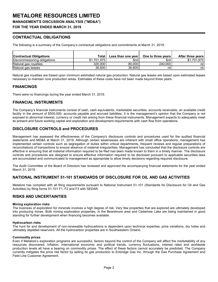**MANAGEMENT'S DISCUSSION ANALYSIS ("MD&A")**

**FOR THE YEAR ENDED MARCH 31, 2019**

# **CONTRACTUAL OBLIGATIONS**

The following is a summary of the Company's contractual obligations and commitments at March 31, 2019:

| <b>Contractual Obligations</b> | Total I     | Less than one year | One to three years | After three years |
|--------------------------------|-------------|--------------------|--------------------|-------------------|
| Decommissioning obligations    | \$1.701.975 | Snil.              | \$nil              | \$1.701.975       |
| Natural gas royalties          | 320,000     | 80.000             | 240,000            | nill              |
| Natural gas leases             | 36.600      | 36.600             | nil                | nill              |

Natural gas royalties are based upon minimum estimated natural gas production. Natural gas leases are based upon estimated leases necessary to maintain core production areas. Estimates of these costs have not been made beyond three years.

# **FINANCINGS**

There were no financings during the year ended March 31, 2019.

# **FINANCIAL INSTRUMENTS**

The Company's financial instruments consist of cash, cash equivalents, marketable securities, accounts receivable, an available credit facility in the amount of \$500,000, accounts payable and accrued liabilities. It is the management's opinion that the Company is not exposed to abnormal interest, currency or credit risk arising from these financial instruments. Management expects to adequately meet its present and future working capital and exploration and development requirements with cash flow from operations.

# **DISCLOSURE CONTROLS and PROCEDURES**

Management has assessed the effectiveness of the Company's disclosure controls and procedures used for the audited financial statements and MD&A at March 31, 2019. Although certain weaknesses are inherent with small office operations, management has implemented certain controls such as segregation of duties within critical departments, frequent reviews and regular preparations of reconciliations of transactions to ensure absence of material irregularities. Management has concluded that the disclosure controls are effective in ensuring that all material information required to be filed has been made known to them in a timely manner. The disclosure controls and procedures are designed to ensure effective information required to be disclosed pursuant to applicable securities laws are accumulated and communicated to management as appropriate to allow timely decisions regarding required disclosure.

The Audit Committee of the Board of Directors has reviewed and approved the accompanying financial statements for the year ended March 31, 2019.

# **NATIONAL INSTRUMENT 51-101 STANDARDS OF DISCLOSURE FOR OIL AND GAS ACTIVITIES**

Metalore has complied with all filing requirements pursuant to National Instrument 51-101 (Standards for Disclosure for Oil and Gas Activities) by filing forms 51-101 F1, F2 and F3 with SEDAR.

# **RISKS AND UNCERTAINTIES**

#### **Mining exploration risks**

The business of exploration for minerals involves a high degree of risk. Very few properties that are explored are ultimately developed into producing mines. Both mining exploration properties, in the Beardmore area and Cedartree Lake are being maintained in good standing for further development when financing becomes available.

#### **Hydrocarbon risks**

The hunt for and development of non-renewable hydrocarbons is dependent upon technical expertise, price variations, dry holes and ultimately depleted reservoirs. All the hydrocarbon properties are in Southwestern Ontario.

#### **Commodity prices**

Even if Metalore's exploration programs are successful, factors beyond the control of the Company will affect the marketability of any resources discovered. Inflation, international economic and political trends, currency fluctuations, interest rates and worldwide production levels all have a bearing on commodity prices. The effect of these factors cannot accurately be predicted. The Company currently mitigates the price risk factor by selling its gas production to Enbridge Gas Inc. through the Gas Purchase Agreement and Field Line Customer Agreement.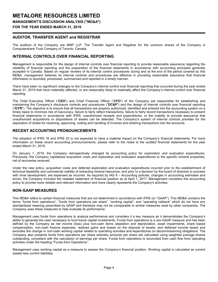**MANAGEMENT'S DISCUSSION ANALYSIS ("MD&A")**

**FOR THE YEAR ENDED MARCH 31, 2019**

## **AUDITOR, TRANSFER AGENT and REGISTRAR**

The auditors of the Company are MNP LLP. The Transfer Agent and Registrar for the common shares of the Company is Computershare Trust Company of Toronto, Canada.

# **INTERNAL CONTROLS OVER FINANCIAL REPORTING**

Management is responsible for the design of internal controls over financial reporting to provide reasonable assurance regarding the reliability of financial reporting and the preparation of the financial statements in accordance with accounting principles generally accepted in Canada. Based on regular reviews of its internal control procedures during and at the end of the period covered by this MD&A, management believes its internal controls and procedures are effective in providing reasonable assurance that financial information is recorded, processed, summarized and reported in a timely manner.

There have been no significant changes to the Company's internal control over financial reporting that occurred during the year ended March 31, 2019 that have materially affected, or are reasonably likely to materially affect the Company's internal control over financial reporting.

The Chief Executive Officer ("**CEO**") and Chief Financial Officer ("**CFO**") of the Company are responsible for establishing and maintaining the Company's disclosure controls and procedures ("**DC&P**") and the design of internal controls over financial reporting ("**ICFR**"). The objective is to ensure that all transactions are properly authorized, identified and entered into the accounting system on a timely basis to minimize risk of inaccuracy, failure to fairly reflect transactions, failure to fairly record transactions necessary to present financial statements in accordance with IFRS, unauthorized receipts and expenditures, or the inability to provide assurance that unauthorized acquisitions or dispositions of assets can be detected. The Company's system of internal controls provides for the separation of duties for receiving, approving, coding and handling of invoices and entering transactions into the accounts.

# **RECENT ACCOUNTING PRONOUNCEMENTS**

The adoption of IFRS 16 and IFRS 23 is not expected to have a material impact on the Company's financial statements. For more information on these recent accounting pronouncements, please refer to the notes to the audited financial statements for the year ended March 31, 2019.

On January 1, 2019, the Company retrospectively changed its accounting policy for exploration and evaluation expenditures. Previously, the Company capitalized acquisition costs and exploration and evaluation expenditures to the specific mineral properties, net of recoveries received.

Under the new policy, acquisition costs and deferred exploration and evaluation expenditures incurred prior to the establishment of technical feasibility and commercial viability of extracting mineral resources, and prior to a decision by the board of directors to proceed with mine development, are expensed as incurred. As required by IAS 8 – Accounting policies, changes in accounting estimates and errors, the Company included the restated statement of financial position as at April 1, 2017. Management considers this accounting policy to provide more reliable and relevant information and more clearly represents the Company's activities.

# **NON-GAAP MEASURES**

This MD&A refers to certain financial measures that are not determined in accordance with IFRS (or "GAAP"). This MD&A contains the terms "funds from operations", "funds from operations per share", "working capital", and "operating netback" which do not have any standardized meaning prescribed by GAAP and therefore may not be comparable to similar measures used by other companies. The Company uses these measures to help evaluate its performance.

Management uses funds from operations to analyze performance and considers it a key measure as it demonstrates the Company's ability to generate the cash necessary to fund future capital investments. Funds from operations is a non-GAAP measure and has been defined by the Company as net income (loss) plus non-cash items (depletion and depreciation, asset impairments, share based compensation, non-cash finance expenses, realized gains and losses on the disposal of assets, and deferred income taxes) and excludes the change in non-cash working capital related to operating activities and expenditures on decommissioning obligations. The Company also presents funds from operations per share whereby amounts per share are calculated using weighted average shares outstanding, consistent with the calculation of earnings per share. Funds from operations is reconciled from cash flow from operating activities under the heading "Funds from Operations".

Management uses working capital as a measure to assess the Company's financial position. Working capital is calculated as current assets less current liabilities.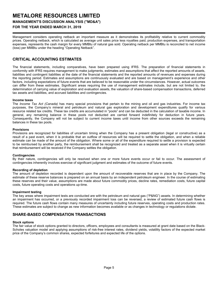# **MANAGEMENT'S DISCUSSION ANALYSIS ("MD&A")**

# **FOR THE YEAR ENDED MARCH 31, 2019**

Management considers operating netback an important measure as it demonstrates its profitability relative to current commodity prices. Operating netback, which is calculated as average unit sales price less royalties paid, production expenses, and transportation expenses, represents the cash margin for every MMBtu of natural gas sold. Operating netback per MMBtu is reconciled to net income (loss) per MMBtu under the heading "Operating Netback".

# **CRITICAL ACCOUNTING ESTIMATES**

The financial statements, including comparatives, have been prepared using IFRS. The preparation of financial statements in conformity with IFRS requires management to make judgments, estimates and assumptions that affect the reported amounts of assets, liabilities and contingent liabilities at the date of the financial statements and the reported amounts of revenues and expenses during the reporting period. Estimates and assumptions are continuously evaluated and are based on management's experience and other factors, including expectations of future events that are believed to be reasonable under the circumstances. However, actual outcomes can differ from these estimates. Significant areas requiring the use of management estimates include, but are not limited to, the determination of carrying value of exploration and evaluation assets, the valuation of share-based compensation transactions, deferred tax assets and liabilities, and accrued liabilities and contingencies.

#### **Income taxes**

The *Income Tax Act (Canada)* has many special provisions that pertain to the mining and oil and gas industries. For income tax purposes, the Company's mineral and petroleum and natural gas exploration and development expenditures qualify for various resource related tax credits. These tax credits are accumulated in "pools" and can be deducted in the calculation of taxable income. In general, any remaining balance in these pools not deducted are carried forward indefinitely for deduction in future years. Consequently, the Company will not be subject to current income taxes until income from other sources exceeds the remaining balances in these tax pools.

#### **Provisions**

Provisions are recognized for liabilities of uncertain timing when the Company has a present obligation (legal or constructive) as a result of a past event, when it is probable that an outflow of resources will be required to settle the obligation, and when a reliable estimate can be made of the amount of the obligation. Where some or all of the expenditure required to settle a provision is expected to be reimbursed by another party, the reimbursement shall be recognized and treated as a separate asset when it is virtually certain that reimbursement will be received if the Company settles the obligation.

#### **Contingencies**

By their nature, contingencies will only be resolved when one or more future events occur or fail to occur. The assessment of contingencies inherently involves exercise of significant judgment and estimates of the outcome of future events.

#### **Recording of depletion**

The amount of depletion recorded is dependent upon the amount of recoverable reserves that are in place by the Company. The estimate of these reserve balances is prepared on an annual basis by an independent petroleum engineer. In the course of estimating these reserves and their value, assumptions are made about future commodity prices, decline rates, remediation costs, future capital costs, future operating costs and operations up-time.

#### **Impairment testing**

The key areas where impairment tests are conducted are with the petroleum and natural gas ("P&NG") assets. In determining whether an impairment has occurred, or a previously recorded impairment loss can be reversed, a review of estimated future cash flows is required. The future cash flows contain many measures of uncertainty including future reserves, operating costs and production rates. These estimates are subject to change as new information becomes available or as changes in technology or regulations dictate.

# **SHARE-BASED COMPENSATION TRANSACTIONS**

#### **Stock options**

The fair value of stock options granted to directors, officers, employees and consultants is measured at grant date based on the Black-Scholes valuation model and applying assumptions of risk-free interest rates, dividend yields, volatility factors of the expected market price of the Company's common shares, expected forfeitures and expected life of the options.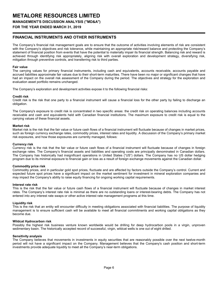**MANAGEMENT'S DISCUSSION ANALYSIS ("MD&A")**

#### **FOR THE YEAR ENDED MARCH 31, 2019**

# **FINANCIAL INSTRUMENTS AND OTHER INSTRUMENTS**

The Company's financial risk management goals are to ensure that the outcome of activities involving elements of risk are consistent with the Company's objectives and risk tolerance, while maintaining an appropriate risk/reward balance and protecting the Company's statement of financial position from events that have the potential to materially impair its financial strength. Balancing risk and reward is achieved through identifying risk appropriately, aligning risk with overall exploration and development strategy, diversifying risk, mitigation through preventive controls, and transferring risk to third parties.

#### **Fair value**

The carrying values for primary financial instruments, including cash and equivalents, accounts receivable, accounts payable and accrued liabilities approximate fair values due to their short-term maturities. There have been no major or significant changes that have had an impact on the overall risk assessment of the Company during the period. The objectives and strategy for the exploration and evaluation asset portfolio remains unchanged.

The Company's exploration and development activities expose it to the following financial risks:

#### **Credit risk**

Credit risk is the risk that one party to a financial instrument will cause a financial loss for the other party by failing to discharge an obligation.

The Company's exposure to credit risk is concentrated in two specific areas: the credit risk on operating balances including accounts receivable and cash and equivalents held with Canadian financial institutions. The maximum exposure to credit risk is equal to the carrying values of these financial assets.

#### **Market risk**

Market risk is the risk that the fair value or future cash flows of a financial instrument will fluctuate because of changes in market prices, such as foreign currency exchange rates, commodity prices, interest rates and liquidity. A discussion of the Company's primary market risk exposures, and how those exposures are currently managed, follows:

#### **Currency risk**

Currency risk is the risk that the fair value or future cash flows of a financial instrument will fluctuate because of changes in foreign exchange rates. The Company's financial assets and liabilities and operating costs are principally denominated in Canadian dollars. The Company has historically had insignificant operations in United States ("US") dollars. The Company has no US dollar hedging program due to its minimal exposure to financial gain or loss as a result of foreign exchange movements against the Canadian dollar.

#### **Commodity price risk**

Commodity prices, and in particular gold spot prices, fluctuate and are affected by factors outside the Company's control. Current and expected future spot prices have a significant impact on the market sentiment for investment in mineral exploration companies and may impact the Company's ability to raise equity financing for ongoing working capital requirements.

#### **Interest rate risk**

This is the risk that the fair value or future cash flows of a financial instrument will fluctuate because of changes in market interest rates. The Company's interest rate risk is minimal as there are no outstanding loans or interest-bearing debts. The Company has not entered into any interest rate swaps or other active interest rate management programs at this time.

#### **Liquidity risk**

This is the risk that an entity will encounter difficulty in meeting obligations associated with financial liabilities. The purpose of liquidity management is to ensure sufficient cash will be available to meet all financial commitments and working capital obligations as they become due.

#### **Wildcat Hydrocarbon risk**

Possibly the highest risk business venture known worldwide would be drilling for deep hydrocarbon pools in a virgin, unproven sedimentary basin. The historically accepted record of successful, virgin, wildcat wells is one out of eight drilled.

#### **Sensitivity analysis**

The Company believes that movements in investments in equity securities that are reasonably possible over the next twelve-month period will not have a significant impact on the Company. Management believes that the Company's cash position and short-term investments provide adequate liquidity to meet all the Company's near-term obligations.